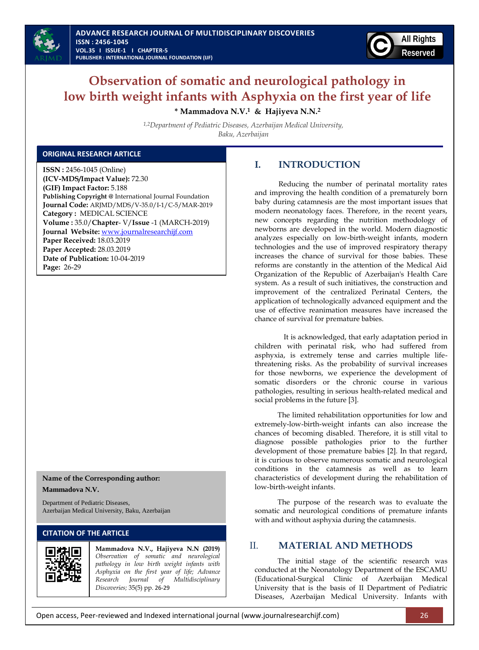



# **Observation of somatic and neurological pathology in low birth weight infants with Asphyxia on the first year of life**

**\* Mammadova N.V.<sup>1</sup> & Hajiyeva N.N.<sup>2</sup>**

*1,2Department of Pediatric Diseases, Azerbaijan Medical University, Baku, Azerbaijan* 

### **ORIGINAL RESEARCH ARTICLE**

**ISSN :** 2456-1045 (Online) **(ICV-MDS/Impact Value):** 72.30 **(GIF) Impact Factor:** 5.188 **Publishing Copyright @** International Journal Foundation **Journal Code:** ARJMD/MDS/V-35.0/I-1/C-5/MAR-2019 **Category :** MEDICAL SCIENCE **Volume :** 35.0/**Chapter**- V/**Issue** -1 (MARCH-2019) **Journal Website:** [www.journalresearchijf.com](http://www.journalresearchijf.com/) **Paper Received:** 18.03.2019 **Paper Accepted:** 28.03.2019 **Date of Publication:** 10-04-2019 **Page:** 26-29

### **Name of the Corresponding author: Mammadova N.V.**

Department of Pediatric Diseases, Azerbaijan Medical University, Baku, Azerbaijan

### **CITATION OF THE ARTICLE**



**Mammadova N.V., Hajiyeva N.N (2019)** *Observation of somatic and neurological pathology in low birth weight infants with Asphyxia on the first year of life; Advance Research Journal of Multidisciplinary Discoveries;* 35(5) pp. 26-29

# **I. INTRODUCTION**

Reducing the number of perinatal mortality rates and improving the health condition of a prematurely born baby during catamnesis are the most important issues that modern neonatology faces. Therefore, in the recent years, new concepts regarding the nutrition methodology of newborns are developed in the world. Modern diagnostic analyzes especially on low-birth-weight infants, modern technologies and the use of improved respiratory therapy increases the chance of survival for those babies. These reforms are constantly in the attention of the Medical Aid Organization of the Republic of Azerbaijan's Health Care system. As a result of such initiatives, the construction and improvement of the centralized Perinatal Centers, the application of technologically advanced equipment and the use of effective reanimation measures have increased the chance of survival for premature babies.

It is acknowledged, that early adaptation period in children with perinatal risk, who had suffered from asphyxia, is extremely tense and carries multiple lifethreatening risks. As the probability of survival increases for those newborns, we experience the development of somatic disorders or the chronic course in various pathologies, resulting in serious health-related medical and social problems in the future [3].

The limited rehabilitation opportunities for low and extremely-low-birth-weight infants can also increase the chances of becoming disabled. Therefore, it is still vital to diagnose possible pathologies prior to the further development of those premature babies [2]. In that regard, it is curious to observe numerous somatic and neurological conditions in the catamnesis as well as to learn characteristics of development during the rehabilitation of low-birth-weight infants.

The purpose of the research was to evaluate the somatic and neurological conditions of premature infants with and without asphyxia during the catamnesis.

# II. **MATERIAL AND METHODS**

The initial stage of the scientific research was conducted at the Neonatology Department of the ESCAMU (Educational-Surgical Clinic of Azerbaijan Medical University that is the basis of II Department of Pediatric Diseases, Azerbaijan Medical University. Infants with

Open access, Peer-reviewed and Indexed international journal (www.journalresearchijf.com) 26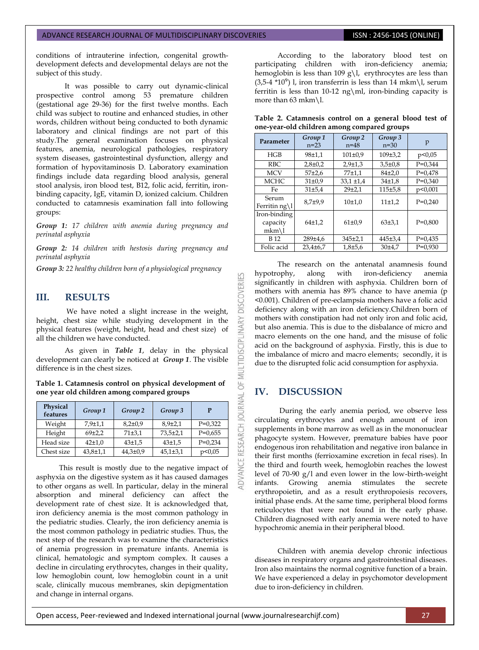### ADVANCE RESEARCH JOURNAL OF MULTIDISCIPLINARY DISCOVERIES **ISSN : 2456-1045 (ONLINE)**

conditions of intrauterine infection, congenital growthdevelopment defects and developmental delays are not the subject of this study.

It was possible to carry out dynamic-clinical prospective control among 53 premature children (gestational age 29-36) for the first twelve months. Each child was subject to routine and enhanced studies, in other words, children without being conducted to both dynamic laboratory and clinical findings are not part of this study.The general examination focuses on physical features, anemia, neurological pathologies, respiratory system diseases, gastrointestinal dysfunction, allergy and formation of hypovitaminosis D. Laboratory examination findings include data regarding blood analysis, general stool analysis, iron blood test, B12, folic acid, ferritin, ironbinding capacity, IgE, vitamin D, ionized calcium. Children conducted to catamnesis examination fall into following groups:

*Group 1: 17 children with anemia during pregnancy and perinatal asphyxia*

*Group 2: 14 children with hestosis during pregnancy and perinatal asphyxia*

*Group 3: 22 healthy children born of a physiological pregnancy*

## **III. RESULTS**

We have noted a slight increase in the weight, height, chest size while studying development in the physical features (weight, height, head and chest size) of all the children we have conducted.

As given in *Table 1*, delay in the physical development can clearly be noticed at *Group 1*. The visible difference is in the chest sizes.

**Table 1. Catamnesis control on physical development of one year old children among compared groups**

| Physical<br>features | Group 1        | Group 2        | Group 3        | P         |
|----------------------|----------------|----------------|----------------|-----------|
| Weight               | $7,9{\pm}1,1$  | $8,2{\pm}0.9$  | $8.9{\pm}2.1$  | $P=0.322$ |
| Height               | 69±2,2         | 71±3,1         | $73,5 \pm 2,1$ | $P=0,655$ |
| Head size            | $42 + 1,0$     | $43 + 1.5$     | $43 + 1.5$     | $P=0,234$ |
| Chest size           | $43,8{\pm}1,1$ | $44,3 \pm 0.9$ | $45,1{\pm}3,1$ | p<0,05    |

This result is mostly due to the negative impact of asphyxia on the digestive system as it has caused damages to other organs as well. In particular, delay in the mineral absorption and mineral deficiency can affect the development rate of chest size. It is acknowledged that, iron deficiency anemia is the most common pathology in the pediatric studies. Clearly, the iron deficiency anemia is the most common pathology in pediatric studies. Thus, the next step of the research was to examine the characteristics of anemia progression in premature infants. Anemia is clinical, hematologic and symptom complex. It causes a decline in circulating erythrocytes, changes in their quality, low hemoglobin count, low hemoglobin count in a unit scale, clinically mucous membranes, skin depigmentation and change in internal organs.

According to the laboratory blood test on participating children with iron-deficiency anemia; hemoglobin is less than 109 g\l, erythrocytes are less than  $(3.5-4 \times 10^{9})$  l, iron transferrin is less than 14 mkm\l, serum ferritin is less than 10-12 ng\ml, iron-binding capacity is more than 63 mkm\l.

|  | Table 2. Catamnesis control on a general blood test of |  |  |  |  |
|--|--------------------------------------------------------|--|--|--|--|
|  | one-year-old children among compared groups            |  |  |  |  |

| Parameter                          | Group 1<br>$n=23$ | Group 2<br>$n = 48$ | Group 3<br>$n=30$  | p         |
|------------------------------------|-------------------|---------------------|--------------------|-----------|
| HGB                                | 98±1.1            | $101 \pm 0.9$       | 109±3.2            | p<0,05    |
| RBC.                               | $2.8 \pm 0.2$     | $2.9 \pm 1.3$       | $3.5 \pm 0.8$      | $P=0.344$ |
| <b>MCV</b>                         | $57 + 2.6$        | 77±1.1              | $84+2.0$           | $P=0.478$ |
| <b>MCHC</b>                        | 31±0.9            | $33,1 \pm 1,4$      | 34 <sub>±1,8</sub> | $P=0.340$ |
| Fe                                 | $31 + 5.4$        | $29 + 2.1$          | 115±5.8            | p<0,001   |
| Serum<br>Ferritin ng\l             | $8.7 + 9.9$       | 10±1,0              | 11±1,2             | $P=0.240$ |
| Iron-binding<br>capacity<br>$mkm\$ | $64+1.2$          | $61\pm0.9$          | 63±3.1             | $P=0.800$ |
| <b>B12</b>                         | 289±4.6           | 345±2,1             | 445±3.4            | $P=0,435$ |
| Folic acid                         | $23.4\pm 6.7$     | $1.8 + 5.6$         | 30±4.7             | $P=0.930$ |

The research on the antenatal anamnesis found hypotrophy, along with iron-deficiency anemia significantly in children with asphyxia. Children born of mothers with anemia has 89% chance to have anemia (p <0.001). Children of pre-eclampsia mothers have a folic acid deficiency along with an iron deficiency.Children born of mothers with constipation had not only iron and folic acid, but also anemia. This is due to the disbalance of micro and macro elements on the one hand, and the misuse of folic acid on the background of asphyxia. Firstly, this is due to the imbalance of micro and macro elements; secondly, it is due to the disrupted folic acid consumption for asphyxia.

### **IV. DISCUSSION**

53

**DISCOVERI** 

**INARY** 

OF MULTIDISCIPLI

RESEARCH JOURNAL

During the early anemia period, we observe less circulating erythrocytes and enough amount of iron supplements in bone marrow as well as in the mononuclear phagocyte system. However, premature babies have poor endogenous iron rehabilitation and negative iron balance in their first months (ferrioxamine excretion in fecal rises). In the third and fourth week, hemoglobin reaches the lowest level of 70-90 g/l and even lower in the low-birth-weight infants. Growing anemia stimulates the secrete erythropoietin, and as a result erythropoiesis recovers, initial phase ends. At the same time, peripheral blood forms reticulocytes that were not found in the early phase. Children diagnosed with early anemia were noted to have hypochromic anemia in their peripheral blood.

Children with anemia develop chronic infectious diseases in respiratory organs and gastrointestinal diseases. Iron also maintains the normal cognitive function of a brain. We have experienced a delay in psychomotor development due to iron-deficiency in children.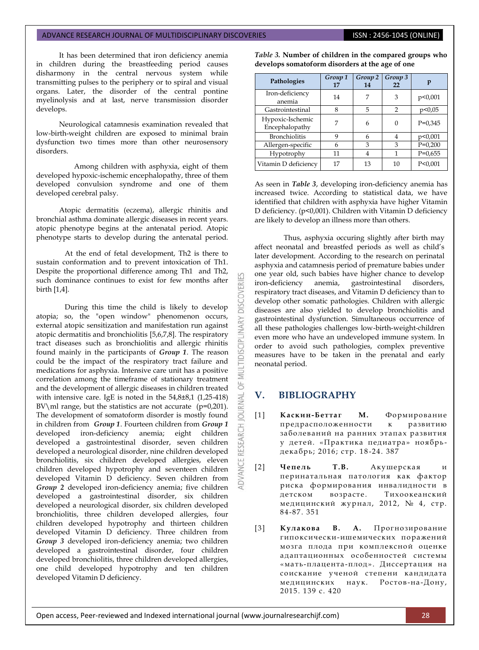# ADVANCE RESEARCH JOURNAL OF MULTIDISCIPLINARY DISCOVERIES **INC. AND SEARCH 1999** ISSN : 2456-1045 (ONLINE)

It has been determined that iron deficiency anemia in children during the breastfeeding period causes disharmony in the central nervous system while transmitting pulses to the periphery or to spiral and visual organs. Later, the disorder of the central pontine myelinolysis and at last, nerve transmission disorder develops.

Neurological catamnesis examination revealed that low-birth-weight children are exposed to minimal brain dysfunction two times more than other neurosensory disorders.

 Among children with asphyxia, eight of them developed hypoxic-ischemic encephalopathy, three of them developed convulsion syndrome and one of them developed cerebral palsy.

Atopic dermatitis (eczema), allergic rhinitis and bronchial asthma dominate allergic diseases in recent years. atopic phenotype begins at the antenatal period. Atopic phenotype starts to develop during the antenatal period.

At the end of fetal development, Th2 is there to sustain conformation and to prevent intoxication of Th1. Despite the proportional difference among Th1 and Th2, such dominance continues to exist for few months after birth [1,4].

During this time the child is likely to develop atopia; so, the "open window" phenomenon occurs, external atopic sensitization and manifestation run against atopic dermatitis and bronchiolitis [5,6,7,8]. The respiratory tract diseases such as bronchiolitis and allergic rhinitis found mainly in the participants of *Group 1*. The reason could be the impact of the respiratory tract failure and medications for asphyxia. Intensive care unit has a positive correlation among the timeframe of stationary treatment and the development of allergic diseases in children treated with intensive care. IgE is noted in the 54,8±8,1 (1,25-418) BV\ml range, but the statistics are not accurate  $(p=0,201)$ . The development of somatoform disorder is mostly found in children from *Group 1*. Fourteen children from *Group 1* developed iron-deficiency anemia; eight children developed a gastrointestinal disorder, seven children developed a neurological disorder, nine children developed bronchiolitis, six children developed allergies, eleven children developed hypotrophy and seventeen children developed Vitamin D deficiency. Seven children from *Group 2* developed iron-deficiency anemia; five children developed a gastrointestinal disorder, six children developed a neurological disorder, six children developed bronchiolitis, three children developed allergies, four children developed hypotrophy and thirteen children developed Vitamin D deficiency. Three children from *Group 3* developed iron-deficiency anemia; two children developed a gastrointestinal disorder, four children developed bronchiolitis, three children developed allergies, one child developed hypotrophy and ten children developed Vitamin D deficiency.

**develops somatoform disorders at the age of one Pathologies** *Group 1* **17** *Group* 2 *Group* 3 *p*<br>14 22 *p* **14**

*Table 3.* **Number of children in the compared groups who** 

| 1 autologics                       | 17 | 14 | 22 |           |
|------------------------------------|----|----|----|-----------|
| Iron-deficiency<br>anemia          | 14 |    | 3  | p<0,001   |
| Gastrointestinal                   | 8  | 5  | 2  | p<0,05    |
| Hypoxic-Ischemic<br>Encephalopathy |    |    |    | $P=0,345$ |
| <b>Bronchiolitis</b>               |    |    | 4  | p<0,001   |
| Allergen-specific                  |    | 3  | 3  | $P=0,200$ |
| Hypotrophy                         | 11 |    |    | $P=0,655$ |
| Vitamin D deficiency               |    | 13 | 10 | P < 0.001 |

As seen in *Table 3*, developing iron-deficiency anemia has increased twice. According to statistical data, we have identified that children with asphyxia have higher Vitamin D deficiency. (p<0,001). Children with Vitamin D deficiency are likely to develop an illness more than others.

Thus, asphyxia occuring slightly after birth may affect neonatal and breastfed periods as well as child's later development. According to the research on perinatal asphyxia and catamnesis period of premature babies under one year old, such babies have higher chance to develop iron-deficiency anemia, gastrointestinal disorders, respiratory tract diseases, and Vitamin D deficiency than to develop other somatic pathologies. Children with allergic diseases are also yielded to develop bronchiolitis and gastrointestinal dysfunction. Simultaneous occurrence of all these pathologies challenges low-birth-weight-children even more who have an undeveloped immune system. In order to avoid such pathologies, complex preventive measures have to be taken in the prenatal and early neonatal period.

## **V. BIBLIOGRAPHY**

**DISCOVERI** 

**INARY** 

**MULTIDISCIPL** 

5

JRNAL jon

RESEARCH

- [1] **Каскин-Беттаг М.** Формировани е предрасположенности к развитию заболеваний на ранних этапах развития у детей. «Практика педиатра» ноябрь декабрь; 2016; стр. 18 -24. 387
- [2] **Чепель Т.В.** Акушерская и перинатальная патология как фактор риска формирования инвалидности в детском возрасте. Тихоокеанский медицинский журнал, 2012, № 4, стр. 84-87. 351
- [3] **Кулакова В. А.** Прогнозирование гипоксически-ишемических поражений мозга плода при комплексной оценке адаптационных особенностей системы «мать-плацента -плод». Диссертация на соискание ученой степени кандидата медицинских наук. Ростов -на-Дону, 2015. 139 с. 420